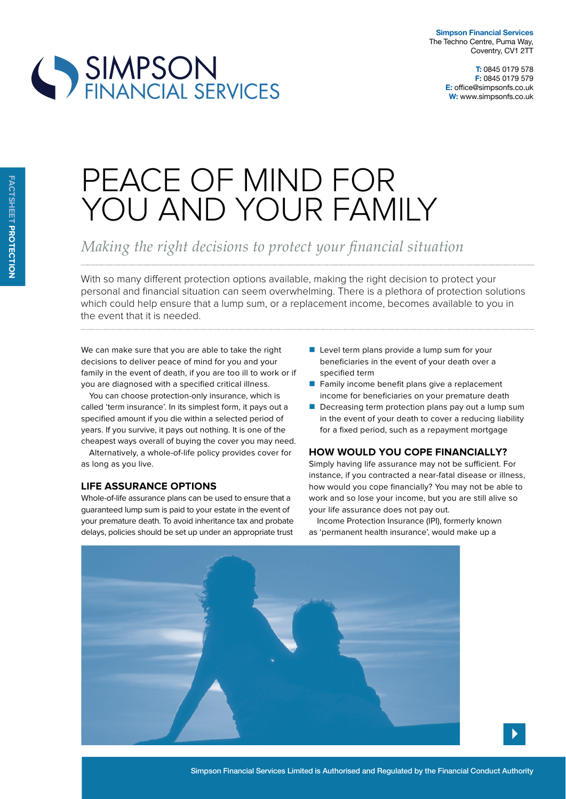

# SIMPSON<br>FINANCIAL SERVICES

## PEACE OF MIND FOR YOU AND YOUR FAMILY

### *Making the right decisions to protect your financial situation*

With so many diferent protection options available, making the right decision to protect your personal and financial situation can seem overwhelming. There is a plethora of protection solutions which could help ensure that a lump sum, or a replacement income, becomes available to you in the event that it is needed.

We can make sure that you are able to take the right decisions to deliver peace of mind for you and your family in the event of death, if you are too ill to work or if you are diagnosed with a specified critical illness.

You can choose protection-only insurance, which is called 'term insurance'. In its simplest form, it pays out a specified amount if you die within a selected period of years. If you survive, it pays out nothing. It is one of the cheapest ways overall of buying the cover you may need.

Alternatively, a whole-of-life policy provides cover for as long as you live.

#### **liFe assurance options**

Whole-of-life assurance plans can be used to ensure that a guaranteed lump sum is paid to your estate in the event of your premature death. To avoid inheritance tax and probate delays, policies should be set up under an appropriate trust

- $\blacksquare$  Level term plans provide a lump sum for your beneficiaries in the event of your death over a specified term
- Family income benefit plans give a replacement income for beneficiaries on your premature death
- Decreasing term protection plans pay out a lump sum in the event of your death to cover a reducing liability for a fixed period, such as a repayment mortgage

#### **How would you cope Financially?**

Simply having life assurance may not be sufficient. For instance, if you contracted a near-fatal disease or illness, how would you cope financially? You may not be able to work and so lose your income, but you are still alive so your life assurance does not pay out.

Income Protection Insurance (IPI), formerly known as 'permanent health insurance', would make up a